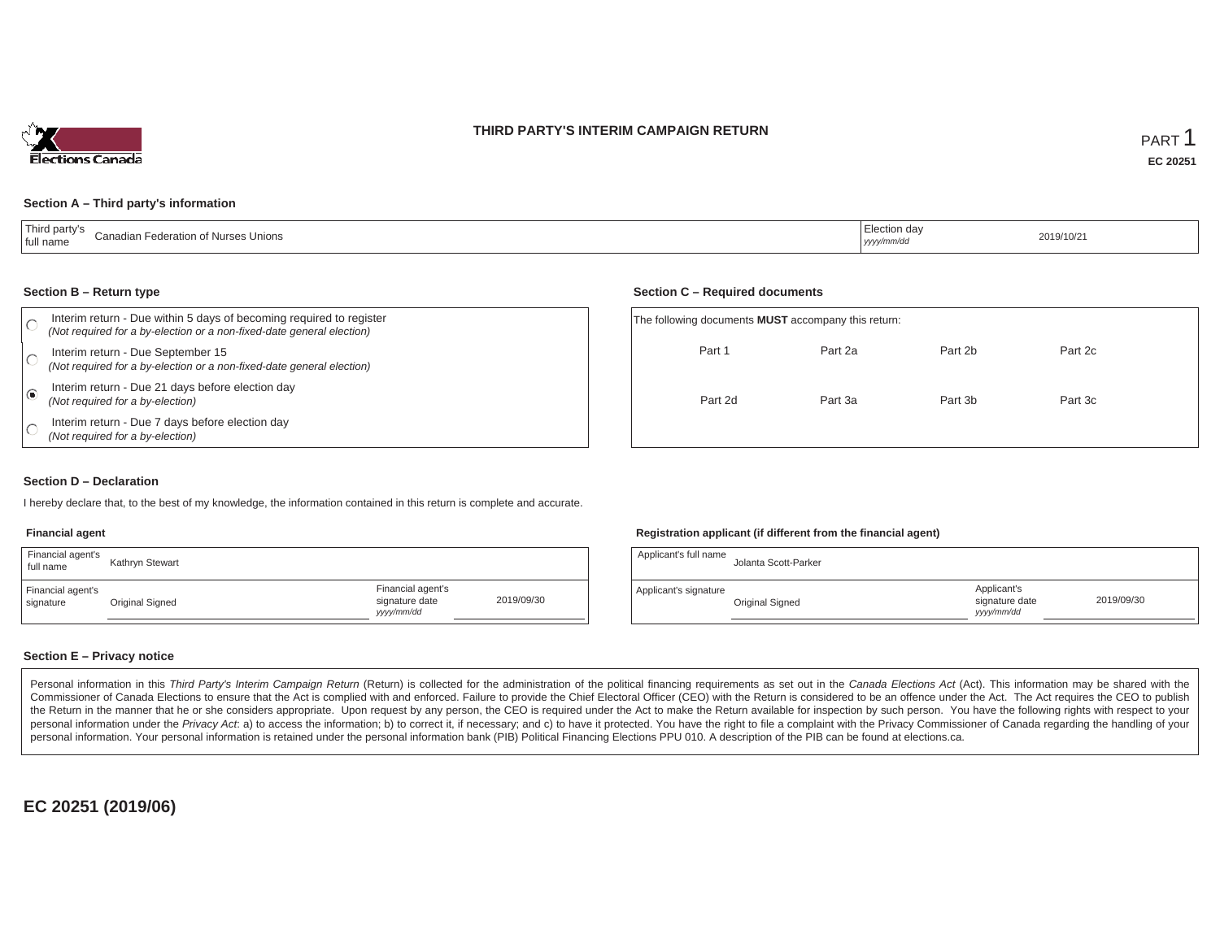## **THIRD PARTY'S INTERIM CAMPAIGN RETURN**



#### **Section A – Third party's information**

#### **Section B – Return type**

| Interim return - Due within 5 days of becoming required to register<br>(Not required for a by-election or a non-fixed-date general election) | The following documents <b>MUST</b> accompany this return: |         |         |         |  |  |
|----------------------------------------------------------------------------------------------------------------------------------------------|------------------------------------------------------------|---------|---------|---------|--|--|
| Interim return - Due September 15<br>(Not required for a by-election or a non-fixed-date general election)                                   | Part 1                                                     | Part 2a | Part 2b | Part 2c |  |  |
| Interim return - Due 21 days before election day<br>(Not required for a by-election)                                                         | Part 2d                                                    | Part 3a | Part 3b | Part 3c |  |  |
| Interim return - Due 7 days before election day<br>(Not required for a by-election)                                                          |                                                            |         |         |         |  |  |

#### **Section D – Declaration**

I hereby declare that, to the best of my knowledge, the information contained in this return is complete and accurate.

#### **Financial agent**

| Financial agent's<br>full name | Kathryn Stewart |                                                  |            |
|--------------------------------|-----------------|--------------------------------------------------|------------|
| Financial agent's<br>signature | Original Signed | Financial agent's<br>signature date<br>vyy/mm/dd | 2019/09/30 |

#### **Registration applicant (if different from the financial agent)**

**Section C – Required documents**

| Applicant's full name | Jolanta Scott-Parker |                                             |            |
|-----------------------|----------------------|---------------------------------------------|------------|
| Applicant's signature | Original Signed      | Applicant's<br>signature date<br>yyyy/mm/dd | 2019/09/30 |

#### **Section E – Privacy notice**

Personal information in this Third Party's Interim Campaign Return (Return) is collected for the administration of the political financing requirements as set out in the Canada Elections Act (Act). This information may be Commissioner of Canada Elections to ensure that the Act is complied with and enforced. Failure to provide the Chief Electoral Officer (CEO) with the Return is considered to be an offence under the Act. The Act requires the the Return in the manner that he or she considers appropriate. Upon request by any person, the CEO is required under the Act to make the Return available for inspection by such person. You have the following rights with re personal information under the Privacy Act. a) to access the information; b) to correct it, if necessary; and c) to have it protected. You have the right to file a complaint with the Privacy Commissioner of Canada regardin personal information. Your personal information is retained under the personal information bank (PIB) Political Financing Elections PPU 010. A description of the PIB can be found at elections.ca.

**EC 20251 (2019/06)**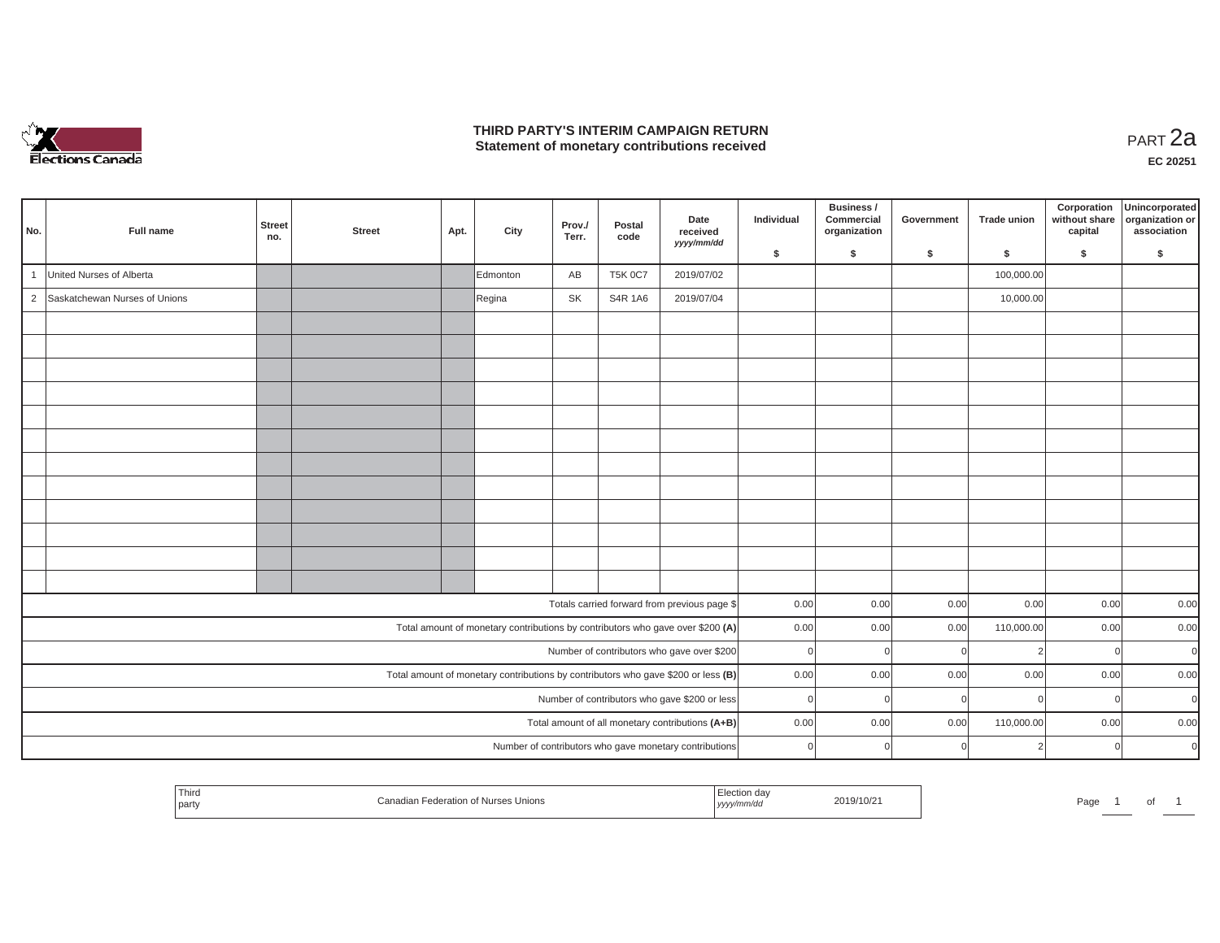

## **THIRD PARTY'S INTERIM CAMPAIGN RETURN THIRD PARTY'S INTERIM CAMPAIGN RETURN<br>Statement of monetary contributions received PART 2a**

| No.            | Full name                                                                         | <b>Street</b><br>no. | <b>Street</b> | Apt. | City     | Prov./<br>Terr. | Postal<br>code | Date<br>received<br>yyyy/mm/dd                                                 | Individual | Business /<br>Commercial<br>organization | Government | <b>Trade union</b> | Corporation<br>without share<br>capital | Unincorporated<br>organization or<br>association |
|----------------|-----------------------------------------------------------------------------------|----------------------|---------------|------|----------|-----------------|----------------|--------------------------------------------------------------------------------|------------|------------------------------------------|------------|--------------------|-----------------------------------------|--------------------------------------------------|
|                |                                                                                   |                      |               |      |          |                 |                |                                                                                | \$         | \$                                       | \$         | \$                 | \$                                      | \$                                               |
| $\overline{1}$ | United Nurses of Alberta                                                          |                      |               |      | Edmonton | AB              | <b>T5K 0C7</b> | 2019/07/02                                                                     |            |                                          |            | 100,000.00         |                                         |                                                  |
| $\overline{2}$ | Saskatchewan Nurses of Unions                                                     |                      |               |      | Regina   | <b>SK</b>       | S4R 1A6        | 2019/07/04                                                                     |            |                                          |            | 10,000.00          |                                         |                                                  |
|                |                                                                                   |                      |               |      |          |                 |                |                                                                                |            |                                          |            |                    |                                         |                                                  |
|                |                                                                                   |                      |               |      |          |                 |                |                                                                                |            |                                          |            |                    |                                         |                                                  |
|                |                                                                                   |                      |               |      |          |                 |                |                                                                                |            |                                          |            |                    |                                         |                                                  |
|                |                                                                                   |                      |               |      |          |                 |                |                                                                                |            |                                          |            |                    |                                         |                                                  |
|                |                                                                                   |                      |               |      |          |                 |                |                                                                                |            |                                          |            |                    |                                         |                                                  |
|                |                                                                                   |                      |               |      |          |                 |                |                                                                                |            |                                          |            |                    |                                         |                                                  |
|                |                                                                                   |                      |               |      |          |                 |                |                                                                                |            |                                          |            |                    |                                         |                                                  |
|                |                                                                                   |                      |               |      |          |                 |                |                                                                                |            |                                          |            |                    |                                         |                                                  |
|                |                                                                                   |                      |               |      |          |                 |                |                                                                                |            |                                          |            |                    |                                         |                                                  |
|                |                                                                                   |                      |               |      |          |                 |                |                                                                                |            |                                          |            |                    |                                         |                                                  |
|                |                                                                                   |                      |               |      |          |                 |                |                                                                                |            |                                          |            |                    |                                         |                                                  |
|                |                                                                                   |                      |               |      |          |                 |                |                                                                                |            |                                          |            |                    |                                         |                                                  |
|                |                                                                                   |                      |               |      |          |                 |                | Totals carried forward from previous page \$                                   | 0.00       | 0.00                                     | 0.00       | 0.00               | 0.00                                    | 0.00                                             |
|                |                                                                                   |                      |               |      |          |                 |                | Total amount of monetary contributions by contributors who gave over \$200 (A) | 0.00       | 0.00                                     | 0.00       | 110,000.00         | 0.00                                    | 0.00                                             |
|                |                                                                                   |                      |               |      |          |                 |                | Number of contributors who gave over \$200                                     | $\Omega$   | -ol                                      | $\Omega$   | $\overline{2}$     | $\mathbf 0$                             | $\mathbf 0$                                      |
|                | Total amount of monetary contributions by contributors who gave \$200 or less (B) |                      |               |      |          |                 |                |                                                                                | 0.00       | 0.00                                     | 0.00       | 0.00               | 0.00                                    | 0.00                                             |
|                |                                                                                   |                      |               |      |          |                 |                | Number of contributors who gave \$200 or less                                  | $\Omega$   | <sup>0</sup>                             |            |                    | $\overline{0}$                          | $\Omega$                                         |
|                |                                                                                   |                      |               |      |          |                 |                | Total amount of all monetary contributions (A+B)                               | 0.00       | 0.00                                     | 0.00       | 110,000.00         | 0.00                                    | 0.00                                             |
|                |                                                                                   |                      |               |      |          |                 |                | Number of contributors who gave monetary contributions                         | $\Omega$   | $\Omega$                                 |            |                    | $\overline{0}$                          | $\Omega$                                         |
|                |                                                                                   |                      |               |      |          |                 |                |                                                                                |            |                                          |            |                    |                                         |                                                  |

| Thirc<br>party | i Nurses Unions<br>елеганог | 2019/10/2<br>,,,,, | Page<br>וש |
|----------------|-----------------------------|--------------------|------------|
|----------------|-----------------------------|--------------------|------------|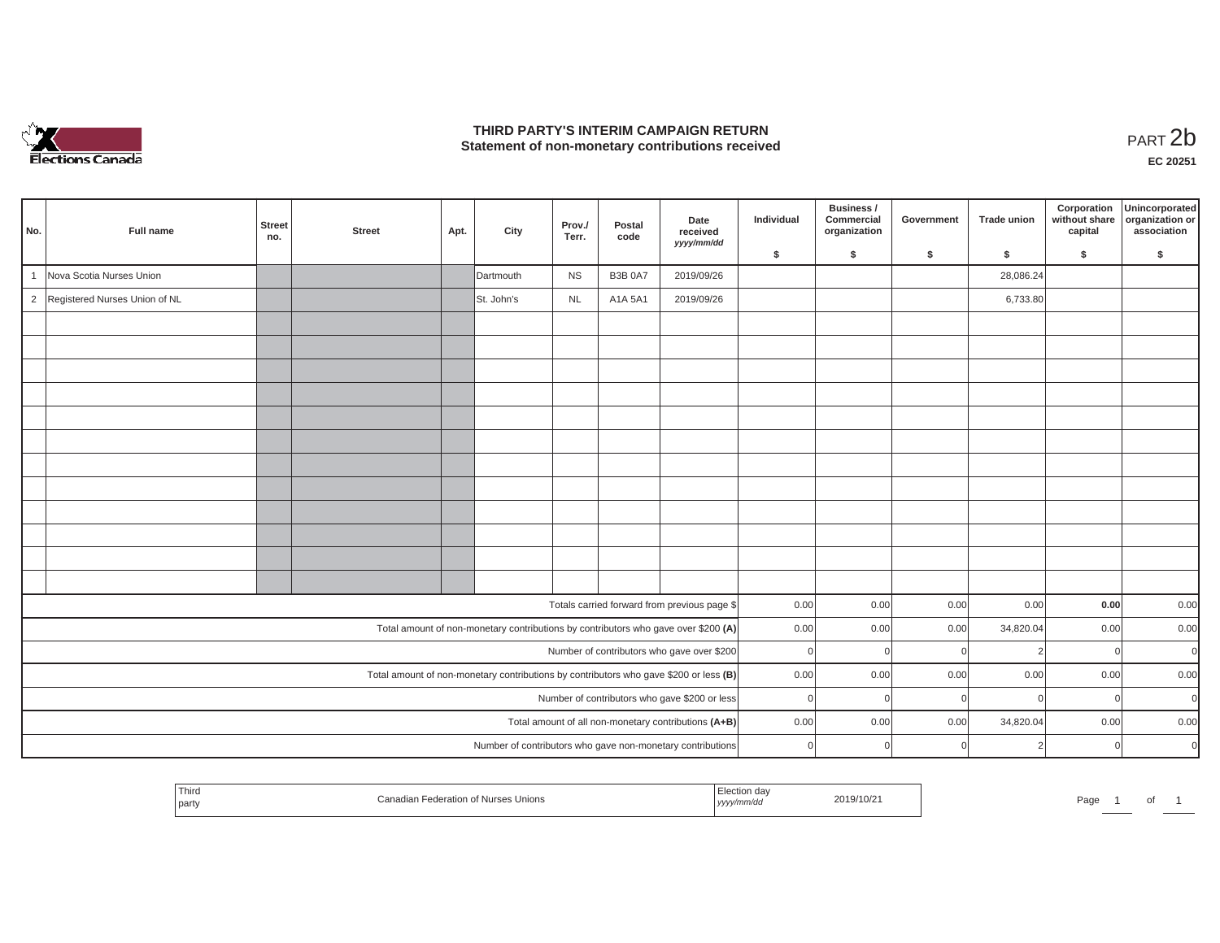

## **THIRD PARTY'S INTERIM CAMPAIGN RETURN**  THIRD PARTY'S INTERIM CAMPAIGN RETURN<br>Statement of non-monetary contributions received<br>**PART 2**b

**EC 20251**

| No.            | Full name                                                                             | <b>Street</b><br>no. | <b>Street</b> | Apt. | City       | Prov./<br>Terr. | Postal<br>code | Date<br>received<br>yyyy/mm/dd                                                     | Individual | Business /<br>Commercial<br>organization | Government | <b>Trade union</b> | Corporation<br>without share<br>capital | Unincorporated<br>organization or<br>association |
|----------------|---------------------------------------------------------------------------------------|----------------------|---------------|------|------------|-----------------|----------------|------------------------------------------------------------------------------------|------------|------------------------------------------|------------|--------------------|-----------------------------------------|--------------------------------------------------|
|                |                                                                                       |                      |               |      |            |                 |                |                                                                                    | \$         | \$                                       | \$         | S.                 | \$                                      | S.                                               |
|                | Nova Scotia Nurses Union                                                              |                      |               |      | Dartmouth  | <b>NS</b>       | <b>B3B 0A7</b> | 2019/09/26                                                                         |            |                                          |            | 28,086.24          |                                         |                                                  |
| $\overline{c}$ | Registered Nurses Union of NL                                                         |                      |               |      | St. John's | <b>NL</b>       | A1A 5A1        | 2019/09/26                                                                         |            |                                          |            | 6,733.80           |                                         |                                                  |
|                |                                                                                       |                      |               |      |            |                 |                |                                                                                    |            |                                          |            |                    |                                         |                                                  |
|                |                                                                                       |                      |               |      |            |                 |                |                                                                                    |            |                                          |            |                    |                                         |                                                  |
|                |                                                                                       |                      |               |      |            |                 |                |                                                                                    |            |                                          |            |                    |                                         |                                                  |
|                |                                                                                       |                      |               |      |            |                 |                |                                                                                    |            |                                          |            |                    |                                         |                                                  |
|                |                                                                                       |                      |               |      |            |                 |                |                                                                                    |            |                                          |            |                    |                                         |                                                  |
|                |                                                                                       |                      |               |      |            |                 |                |                                                                                    |            |                                          |            |                    |                                         |                                                  |
|                |                                                                                       |                      |               |      |            |                 |                |                                                                                    |            |                                          |            |                    |                                         |                                                  |
|                |                                                                                       |                      |               |      |            |                 |                |                                                                                    |            |                                          |            |                    |                                         |                                                  |
|                |                                                                                       |                      |               |      |            |                 |                |                                                                                    |            |                                          |            |                    |                                         |                                                  |
|                |                                                                                       |                      |               |      |            |                 |                |                                                                                    |            |                                          |            |                    |                                         |                                                  |
|                |                                                                                       |                      |               |      |            |                 |                |                                                                                    |            |                                          |            |                    |                                         |                                                  |
|                |                                                                                       |                      |               |      |            |                 |                |                                                                                    |            |                                          |            |                    |                                         |                                                  |
|                |                                                                                       |                      |               |      |            |                 |                | Totals carried forward from previous page \$                                       | 0.00       | 0.00                                     | 0.00       | 0.00               | 0.00                                    | 0.00                                             |
|                |                                                                                       |                      |               |      |            |                 |                | Total amount of non-monetary contributions by contributors who gave over \$200 (A) | 0.00       | 0.00                                     | 0.00       | 34,820.04          | 0.00                                    | 0.00                                             |
|                |                                                                                       |                      |               |      |            |                 |                | Number of contributors who gave over \$200                                         | $\Omega$   | $\Omega$                                 |            |                    | $\mathbf 0$                             | $\mathbf{0}$                                     |
|                | Total amount of non-monetary contributions by contributors who gave \$200 or less (B) |                      |               |      |            |                 |                |                                                                                    | 0.00       | 0.00                                     | 0.00       | 0.00               | 0.00                                    | 0.00                                             |
|                |                                                                                       |                      |               |      |            |                 |                | Number of contributors who gave \$200 or less                                      | $\Omega$   | $\Omega$                                 |            |                    | $\overline{0}$                          | $\Omega$                                         |
|                |                                                                                       |                      |               |      |            |                 |                | Total amount of all non-monetary contributions (A+B)                               | 0.00       | 0.00                                     | 0.00       | 34,820.04          | 0.00                                    | 0.00                                             |
|                |                                                                                       |                      |               |      |            |                 |                | Number of contributors who gave non-monetary contributions                         | $\Omega$   | $\Omega$                                 |            |                    | $\Omega$                                | $\Omega$                                         |

|  | Third<br>party | -odorotion<br>of Nurses<br>Unions<br>יבמרי | .<br>уууу, | 2019/10/21<br>the contract of the contract of the contract of the contract of the contract of the contract of the contract of | Page |  | $\sim$<br>ັບເ |  |
|--|----------------|--------------------------------------------|------------|-------------------------------------------------------------------------------------------------------------------------------|------|--|---------------|--|
|--|----------------|--------------------------------------------|------------|-------------------------------------------------------------------------------------------------------------------------------|------|--|---------------|--|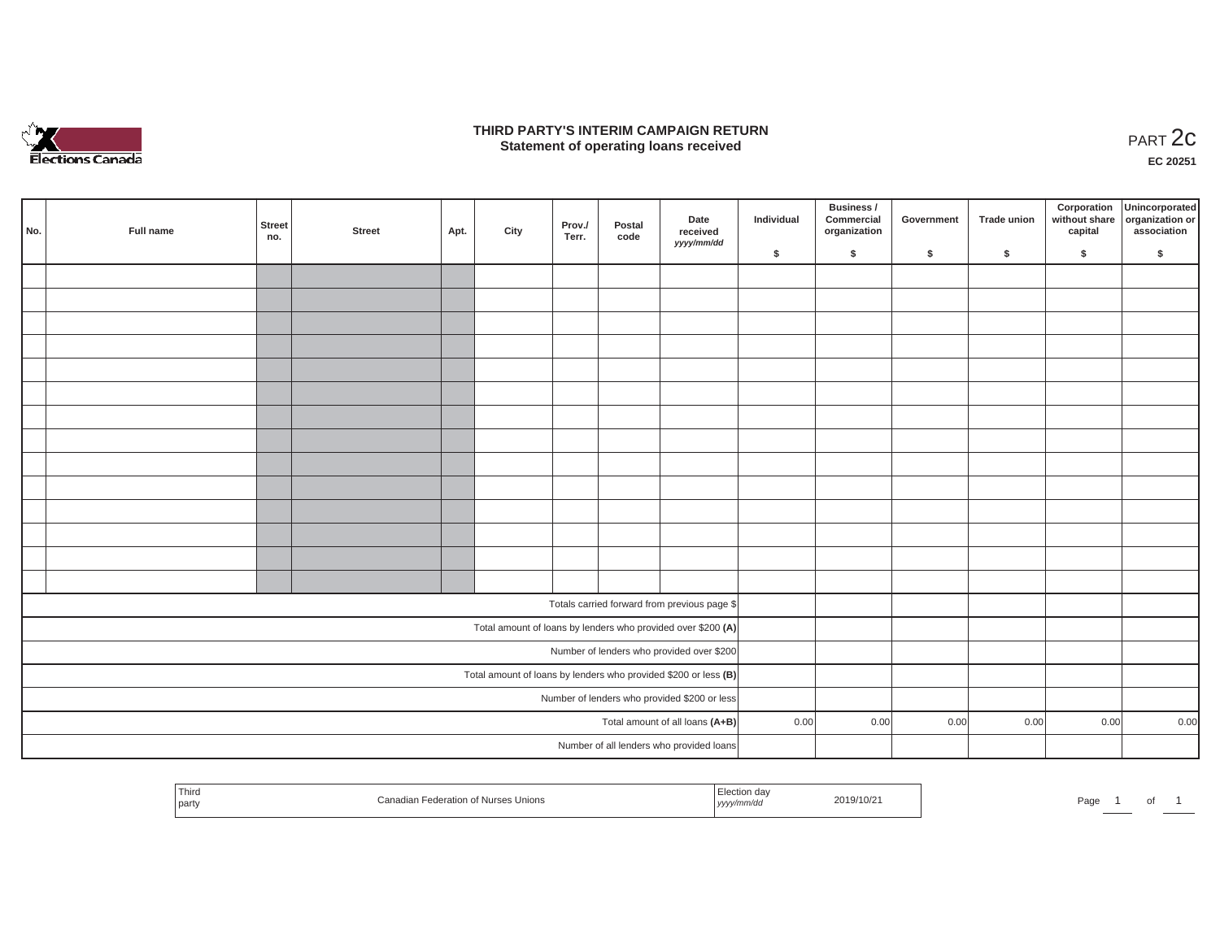

## **THIRD PARTY'S INTERIM CAMPAIGN RETURN**  RD PARTY'S INTERIM CAMPAIGN RETURN<br>Statement of operating loans received **PART 2c**

**EC 20251**

L.

|                                           |           |               |        |      |      |                 |                |                                                                 |            | Business /                 |            |             | Corporation | Unincorporated                               |
|-------------------------------------------|-----------|---------------|--------|------|------|-----------------|----------------|-----------------------------------------------------------------|------------|----------------------------|------------|-------------|-------------|----------------------------------------------|
| No.                                       | Full name | Street<br>no. | Street | Apt. | City | Prov./<br>Terr. | Postal<br>code | Date<br>received<br>yyyy/mm/dd                                  | Individual | Commercial<br>organization | Government | Trade union | capital     | without share organization or<br>association |
|                                           |           |               |        |      |      |                 |                |                                                                 | \$         | \$                         | \$         | \$          | \$          | \$                                           |
|                                           |           |               |        |      |      |                 |                |                                                                 |            |                            |            |             |             |                                              |
|                                           |           |               |        |      |      |                 |                |                                                                 |            |                            |            |             |             |                                              |
|                                           |           |               |        |      |      |                 |                |                                                                 |            |                            |            |             |             |                                              |
|                                           |           |               |        |      |      |                 |                |                                                                 |            |                            |            |             |             |                                              |
|                                           |           |               |        |      |      |                 |                |                                                                 |            |                            |            |             |             |                                              |
|                                           |           |               |        |      |      |                 |                |                                                                 |            |                            |            |             |             |                                              |
|                                           |           |               |        |      |      |                 |                |                                                                 |            |                            |            |             |             |                                              |
|                                           |           |               |        |      |      |                 |                |                                                                 |            |                            |            |             |             |                                              |
|                                           |           |               |        |      |      |                 |                |                                                                 |            |                            |            |             |             |                                              |
|                                           |           |               |        |      |      |                 |                |                                                                 |            |                            |            |             |             |                                              |
|                                           |           |               |        |      |      |                 |                |                                                                 |            |                            |            |             |             |                                              |
|                                           |           |               |        |      |      |                 |                |                                                                 |            |                            |            |             |             |                                              |
|                                           |           |               |        |      |      |                 |                |                                                                 |            |                            |            |             |             |                                              |
|                                           |           |               |        |      |      |                 |                |                                                                 |            |                            |            |             |             |                                              |
|                                           |           |               |        |      |      |                 |                |                                                                 |            |                            |            |             |             |                                              |
|                                           |           |               |        |      |      |                 |                | Totals carried forward from previous page \$                    |            |                            |            |             |             |                                              |
|                                           |           |               |        |      |      |                 |                | Total amount of loans by lenders who provided over \$200 (A)    |            |                            |            |             |             |                                              |
| Number of lenders who provided over \$200 |           |               |        |      |      |                 |                |                                                                 |            |                            |            |             |             |                                              |
|                                           |           |               |        |      |      |                 |                | Total amount of loans by lenders who provided \$200 or less (B) |            |                            |            |             |             |                                              |
|                                           |           |               |        |      |      |                 |                | Number of lenders who provided \$200 or less                    |            |                            |            |             |             |                                              |
|                                           |           |               |        |      |      |                 |                | Total amount of all loans (A+B)                                 | 0.00       | 0.00                       | 0.00       | 0.00        | 0.00        | 0.00                                         |
|                                           |           |               |        |      |      |                 |                | Number of all lenders who provided loans                        |            |                            |            |             |             |                                              |

| Third   |                                          | :lection day         |                  |           |
|---------|------------------------------------------|----------------------|------------------|-----------|
|         |                                          |                      | 2019/10/21       |           |
| ' partv | ederation<br>: Nurses Unions<br>Canadiar | $\cdots$<br>yyyymmuu | <b>SOLANDRIA</b> | Page<br>ັ |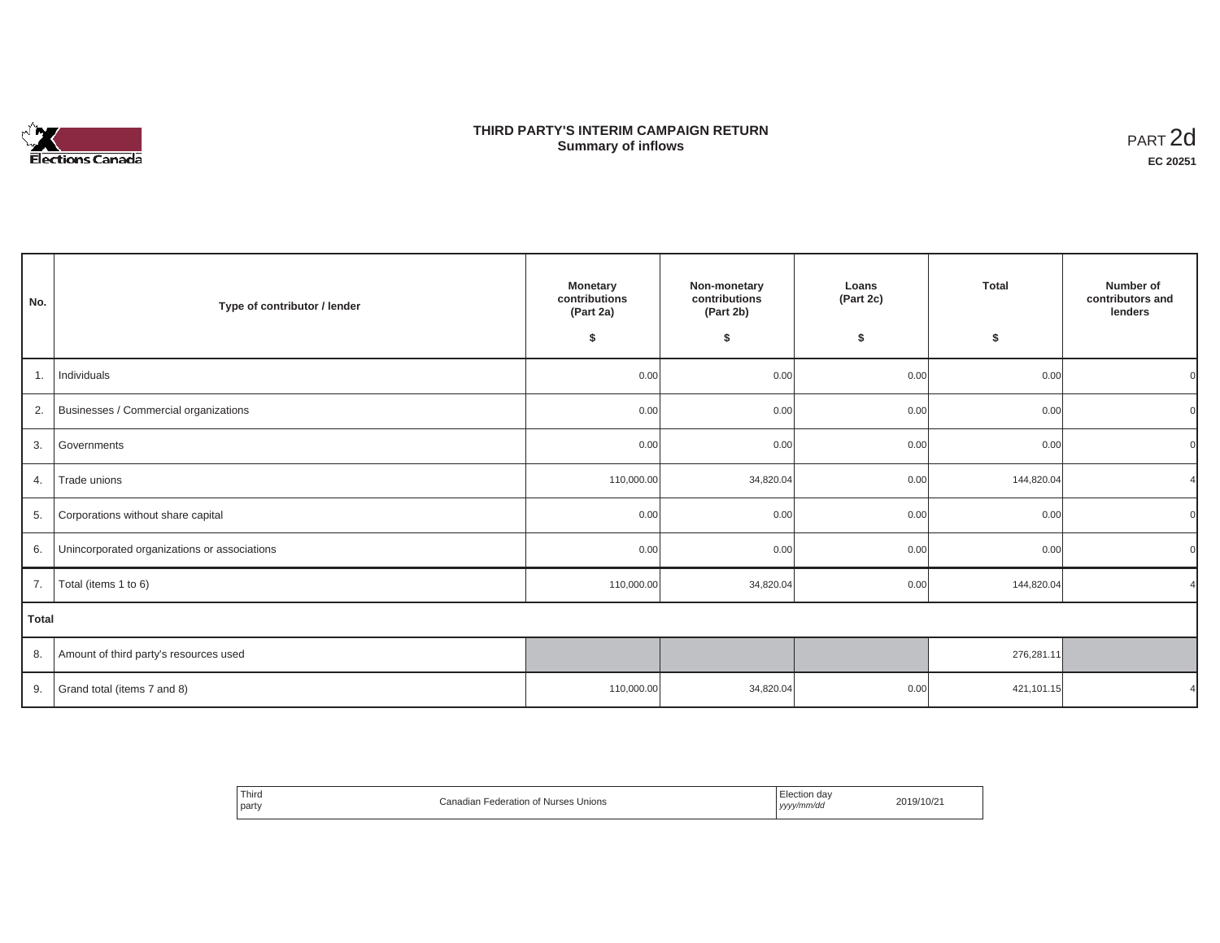# Elections Canada

## **THIRD PARTY'S INTERIM CAMPAIGN RETURN Summary of inflows**

| PART <sub>2d</sub> |
|--------------------|
| EC 20251           |

| No. | Type of contributor / lender                 | <b>Monetary</b><br>Non-monetary<br>contributions<br>contributions<br>(Part 2a)<br>(Part 2b)<br>\$<br>\$ |           | Loans<br>(Part 2c)<br>\$ | Total<br>\$ | Number of<br>contributors and<br>lenders |  |  |
|-----|----------------------------------------------|---------------------------------------------------------------------------------------------------------|-----------|--------------------------|-------------|------------------------------------------|--|--|
| 1.  | Individuals                                  | 0.00                                                                                                    | 0.00      | 0.00                     | 0.00        |                                          |  |  |
| 2.  | Businesses / Commercial organizations        | 0.00                                                                                                    | 0.00      | 0.00                     | 0.00        |                                          |  |  |
| 3.  | Governments                                  | 0.00                                                                                                    | 0.00      | 0.00                     | 0.00        |                                          |  |  |
| 4.  | Trade unions                                 | 110,000.00                                                                                              | 34,820.04 | 0.00                     | 144,820.04  |                                          |  |  |
| 5.  | Corporations without share capital           | 0.00                                                                                                    | 0.00      | 0.00                     | 0.00        |                                          |  |  |
| 6.  | Unincorporated organizations or associations | 0.00                                                                                                    | 0.00      | 0.00                     | 0.00        |                                          |  |  |
| 7.  | Total (items 1 to 6)                         | 110,000.00                                                                                              | 34,820.04 | 0.00                     | 144,820.04  |                                          |  |  |
|     | Total                                        |                                                                                                         |           |                          |             |                                          |  |  |
| 8.  | Amount of third party's resources used       |                                                                                                         |           |                          | 276,281.11  |                                          |  |  |
| 9.  | Grand total (items 7 and 8)                  | 110,000.00                                                                                              | 34,820.04 | 0.00                     | 421,101.15  |                                          |  |  |

| Third<br>Canadian F<br>Unions<br>Federation of Nurses<br>the contract of the contract of the<br>party<br>، الم | Election day<br>yyyy/mm/dd<br>. | 2019/10/21 |
|----------------------------------------------------------------------------------------------------------------|---------------------------------|------------|
|----------------------------------------------------------------------------------------------------------------|---------------------------------|------------|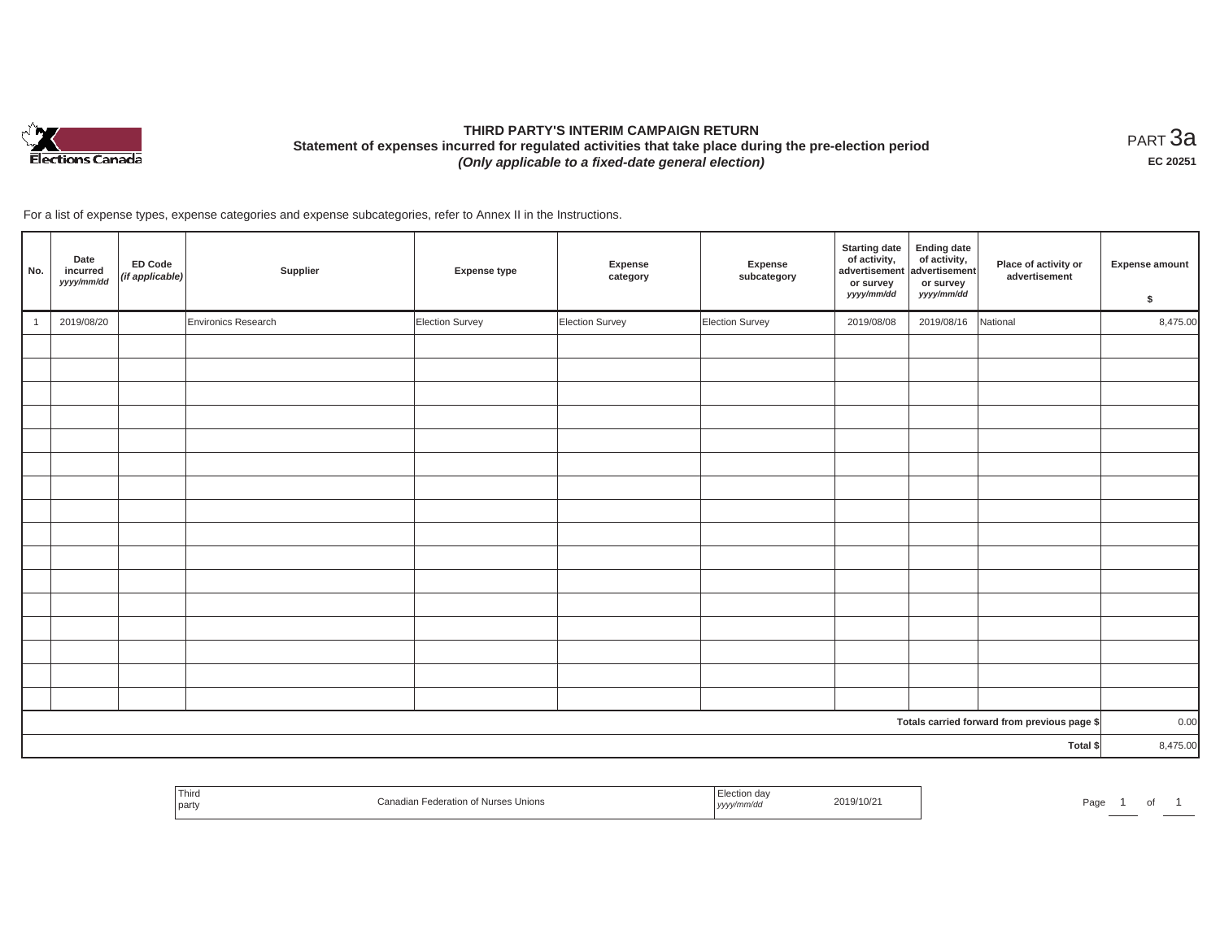

# **THIRD PARTY'S INTERIM CAMPAIGN RETURN Statement of expenses incurred for regulated activities that take place during the pre-election period**  *(Only applicable to a fixed-date general election)*

<code>PART $3$ a</code> **EC 20251**

For a list of expense types, expense categories and expense subcategories, refer to Annex II in the Instructions.

| No. | Date<br>incurred<br>yyyy/mm/dd | ED Code<br>(if applicable) | Supplier            | <b>Expense type</b> | Expense<br>category | Expense<br>subcategory | <b>Starting date</b><br>of activity,<br>advertisement<br>or survey<br>yyyy/mm/dd | <b>Ending date</b><br>of activity,<br>advertisement<br>or survey<br>yyyy/mm/dd | Place of activity or<br>advertisement        | <b>Expense amount</b><br>\$ |
|-----|--------------------------------|----------------------------|---------------------|---------------------|---------------------|------------------------|----------------------------------------------------------------------------------|--------------------------------------------------------------------------------|----------------------------------------------|-----------------------------|
|     | 2019/08/20                     |                            | Environics Research | Election Survey     | Election Survey     | Election Survey        | 2019/08/08                                                                       | 2019/08/16                                                                     | National                                     | 8,475.00                    |
|     |                                |                            |                     |                     |                     |                        |                                                                                  |                                                                                |                                              |                             |
|     |                                |                            |                     |                     |                     |                        |                                                                                  |                                                                                |                                              |                             |
|     |                                |                            |                     |                     |                     |                        |                                                                                  |                                                                                |                                              |                             |
|     |                                |                            |                     |                     |                     |                        |                                                                                  |                                                                                |                                              |                             |
|     |                                |                            |                     |                     |                     |                        |                                                                                  |                                                                                |                                              |                             |
|     |                                |                            |                     |                     |                     |                        |                                                                                  |                                                                                |                                              |                             |
|     |                                |                            |                     |                     |                     |                        |                                                                                  |                                                                                |                                              |                             |
|     |                                |                            |                     |                     |                     |                        |                                                                                  |                                                                                |                                              |                             |
|     |                                |                            |                     |                     |                     |                        |                                                                                  |                                                                                |                                              |                             |
|     |                                |                            |                     |                     |                     |                        |                                                                                  |                                                                                |                                              |                             |
|     |                                |                            |                     |                     |                     |                        |                                                                                  |                                                                                |                                              |                             |
|     |                                |                            |                     |                     |                     |                        |                                                                                  |                                                                                |                                              |                             |
|     |                                |                            |                     |                     |                     |                        |                                                                                  |                                                                                |                                              |                             |
|     |                                |                            |                     |                     |                     |                        |                                                                                  |                                                                                |                                              |                             |
|     |                                |                            |                     |                     |                     |                        |                                                                                  |                                                                                |                                              |                             |
|     |                                |                            |                     |                     |                     |                        |                                                                                  |                                                                                |                                              |                             |
|     |                                |                            |                     |                     |                     |                        |                                                                                  |                                                                                | Totals carried forward from previous page \$ | 0.00                        |
|     |                                |                            |                     |                     |                     |                        |                                                                                  |                                                                                | Total \$                                     | 8,475.00                    |

| Third<br>  party | es Unions | ,,,, | 2019/10/2 | the contract of the contract of the contract of<br>າລລ |  |  |
|------------------|-----------|------|-----------|--------------------------------------------------------|--|--|
|                  |           |      |           |                                                        |  |  |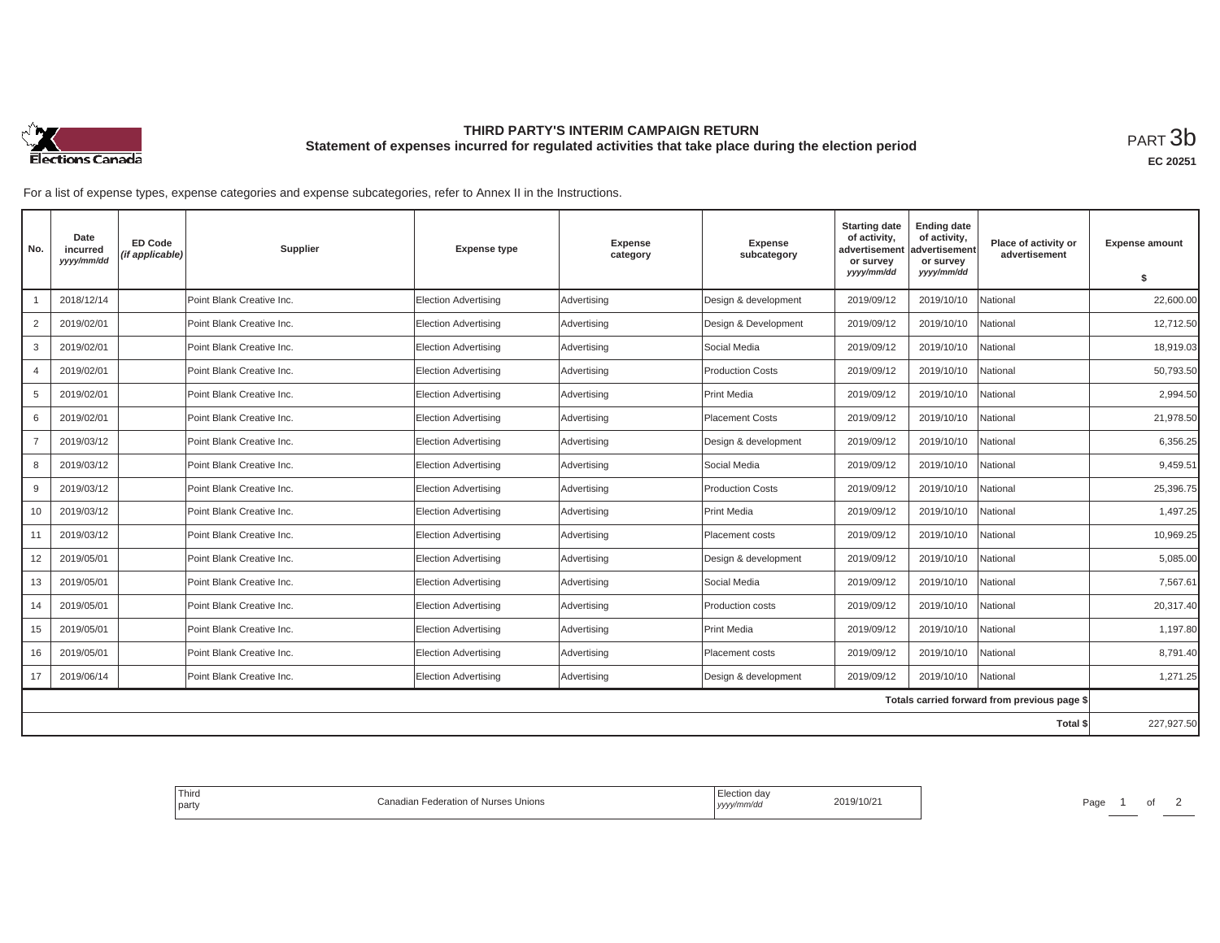

## **THIRD PARTY'S INTERIM CAMPAIGN RETURN Statement of expenses incurred for regulated activities that take place during the election period**<br>РАRТ  $3\mathrm{b}$

For a list of expense types, expense categories and expense subcategories, refer to Annex II in the Instructions.

| No.            | Date<br>incurred<br>yyyy/mm/dd | <b>ED Code</b><br>(if applicable) | Supplier                  | <b>Expense type</b>         | <b>Expense</b><br>category | <b>Expense</b><br>subcategory | <b>Starting date</b><br>of activity,<br>advertisement<br>or survey | <b>Ending date</b><br>of activity,<br>advertisement<br>or survey | Place of activity or<br>advertisement        | <b>Expense amount</b> |
|----------------|--------------------------------|-----------------------------------|---------------------------|-----------------------------|----------------------------|-------------------------------|--------------------------------------------------------------------|------------------------------------------------------------------|----------------------------------------------|-----------------------|
|                |                                |                                   |                           |                             |                            |                               | yyyy/mm/dd                                                         | yyyy/mm/dd                                                       |                                              | \$                    |
|                | 2018/12/14                     |                                   | Point Blank Creative Inc. | <b>Election Advertising</b> | Advertising                | Design & development          | 2019/09/12                                                         | 2019/10/10                                                       | National                                     | 22,600.00             |
| $\overline{2}$ | 2019/02/01                     |                                   | Point Blank Creative Inc. | <b>Election Advertising</b> | Advertising                | Design & Development          | 2019/09/12                                                         | 2019/10/10                                                       | National                                     | 12,712.50             |
| 3              | 2019/02/01                     |                                   | Point Blank Creative Inc. | <b>Election Advertising</b> | Advertising                | Social Media                  | 2019/09/12                                                         | 2019/10/10                                                       | National                                     | 18,919.03             |
| $\overline{4}$ | 2019/02/01                     |                                   | Point Blank Creative Inc. | <b>Election Advertising</b> | Advertising                | <b>Production Costs</b>       | 2019/09/12                                                         | 2019/10/10                                                       | National                                     | 50,793.50             |
| 5              | 2019/02/01                     |                                   | Point Blank Creative Inc. | <b>Election Advertising</b> | Advertising                | Print Media                   | 2019/09/12                                                         | 2019/10/10                                                       | National                                     | 2.994.50              |
| 6              | 2019/02/01                     |                                   | Point Blank Creative Inc. | <b>Election Advertising</b> | Advertising                | Placement Costs               | 2019/09/12                                                         | 2019/10/10                                                       | National                                     | 21,978.50             |
| $\overline{7}$ | 2019/03/12                     |                                   | Point Blank Creative Inc. | <b>Election Advertising</b> | Advertising                | Design & development          | 2019/09/12                                                         | 2019/10/10                                                       | Vational                                     | 6,356.25              |
| 8              | 2019/03/12                     |                                   | Point Blank Creative Inc. | <b>Election Advertising</b> | Advertising                | Social Media                  | 2019/09/12                                                         | 2019/10/10                                                       | National                                     | 9.459.51              |
| 9              | 2019/03/12                     |                                   | Point Blank Creative Inc. | <b>Election Advertising</b> | Advertising                | <b>Production Costs</b>       | 2019/09/12                                                         | 2019/10/10                                                       | National                                     | 25,396.75             |
| 10             | 2019/03/12                     |                                   | Point Blank Creative Inc. | <b>Election Advertising</b> | Advertising                | Print Media                   | 2019/09/12                                                         | 2019/10/10                                                       | Vational                                     | 1,497.25              |
| 11             | 2019/03/12                     |                                   | Point Blank Creative Inc. | <b>Election Advertising</b> | Advertising                | Placement costs               | 2019/09/12                                                         | 2019/10/10                                                       | National                                     | 10,969.25             |
| 12             | 2019/05/01                     |                                   | Point Blank Creative Inc. | <b>Election Advertising</b> | Advertising                | Design & development          | 2019/09/12                                                         | 2019/10/10                                                       | National                                     | 5,085.00              |
| 13             | 2019/05/01                     |                                   | Point Blank Creative Inc. | Election Advertising        | Advertising                | Social Media                  | 2019/09/12                                                         | 2019/10/10                                                       | Vational                                     | 7,567.61              |
| 14             | 2019/05/01                     |                                   | Point Blank Creative Inc. | <b>Election Advertising</b> | Advertising                | Production costs              | 2019/09/12                                                         | 2019/10/10                                                       | National                                     | 20,317.40             |
| 15             | 2019/05/01                     |                                   | Point Blank Creative Inc. | <b>Election Advertising</b> | Advertising                | Print Media                   | 2019/09/12                                                         | 2019/10/10                                                       | National                                     | 1,197.80              |
| 16             | 2019/05/01                     |                                   | Point Blank Creative Inc. | <b>Election Advertising</b> | Advertising                | Placement costs               | 2019/09/12                                                         | 2019/10/10                                                       | Vational                                     | 8,791.40              |
| 17             | 2019/06/14                     |                                   | Point Blank Creative Inc. | Election Advertising        | Advertising                | Design & development          | 2019/09/12                                                         | 2019/10/10                                                       | National                                     | 1,271.25              |
|                |                                |                                   |                           |                             |                            |                               |                                                                    |                                                                  | Totals carried forward from previous page \$ |                       |
|                |                                |                                   |                           |                             |                            |                               |                                                                    |                                                                  | Total \$                                     | 227,927.50            |

| ' Third<br>Nderation of Nurses<br>։ Unions<br>l party | 2019/10/2<br>yyyy/mnvuo | Page |
|-------------------------------------------------------|-------------------------|------|
|-------------------------------------------------------|-------------------------|------|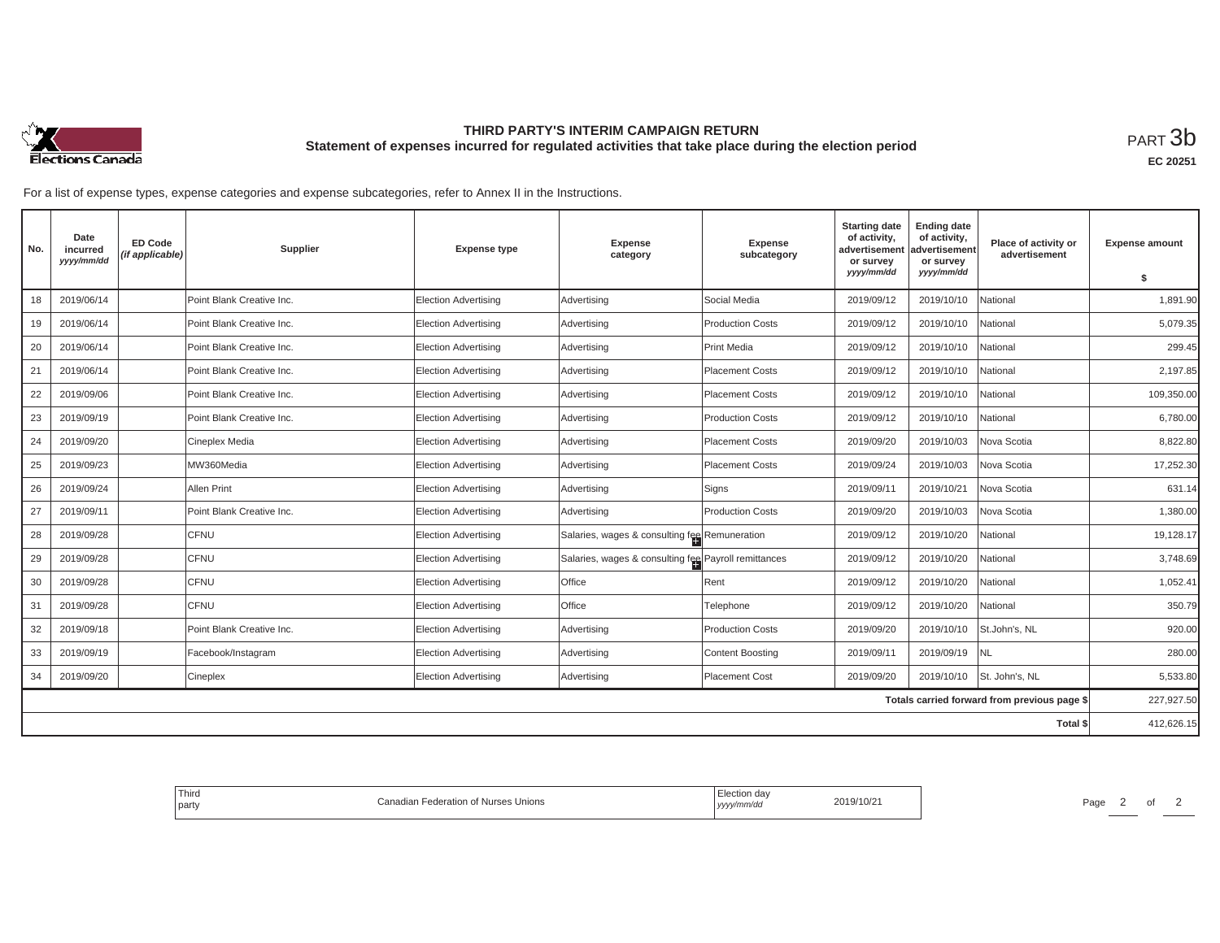

## **THIRD PARTY'S INTERIM CAMPAIGN RETURN Statement of expenses incurred for regulated activities that take place during the election period**<br>РАRТ  $3\mathrm{b}$

For a list of expense types, expense categories and expense subcategories, refer to Annex II in the Instructions.

| No. | Date<br>incurred<br>yyyy/mm/dd | <b>ED Code</b><br>(if applicable) | Supplier                  | <b>Expense type</b>         | <b>Expense</b><br>category                           | Expense<br>subcategory  | <b>Starting date</b><br>of activity,<br>advertisement<br>or survey | <b>Ending date</b><br>of activity,<br>advertisement<br>or survey | Place of activity or<br>advertisement        | <b>Expense amount</b> |
|-----|--------------------------------|-----------------------------------|---------------------------|-----------------------------|------------------------------------------------------|-------------------------|--------------------------------------------------------------------|------------------------------------------------------------------|----------------------------------------------|-----------------------|
|     |                                |                                   |                           |                             |                                                      |                         | yyyy/mm/dd                                                         | yyyy/mm/dd                                                       |                                              | \$                    |
| 18  | 2019/06/14                     |                                   | Point Blank Creative Inc. | <b>Election Advertising</b> | Advertising                                          | Social Media            | 2019/09/12                                                         | 2019/10/10                                                       | National                                     | 1,891.90              |
| 19  | 2019/06/14                     |                                   | Point Blank Creative Inc. | <b>Election Advertising</b> | Advertising                                          | <b>Production Costs</b> | 2019/09/12                                                         | 2019/10/10                                                       | National                                     | 5,079.35              |
| 20  | 2019/06/14                     |                                   | Point Blank Creative Inc. | <b>Election Advertising</b> | Advertising                                          | <b>Print Media</b>      | 2019/09/12                                                         | 2019/10/10                                                       | National                                     | 299.45                |
| 21  | 2019/06/14                     |                                   | Point Blank Creative Inc. | <b>Election Advertising</b> | Advertising                                          | <b>Placement Costs</b>  | 2019/09/12                                                         | 2019/10/10                                                       | National                                     | 2,197.85              |
| 22  | 2019/09/06                     |                                   | Point Blank Creative Inc. | Election Advertising        | Advertising                                          | <b>Placement Costs</b>  | 2019/09/12                                                         | 2019/10/10                                                       | National                                     | 109,350.00            |
| 23  | 2019/09/19                     |                                   | Point Blank Creative Inc. | <b>Election Advertising</b> | Advertising                                          | <b>Production Costs</b> | 2019/09/12                                                         | 2019/10/10                                                       | National                                     | 6,780.00              |
| 24  | 2019/09/20                     |                                   | Cineplex Media            | <b>Election Advertising</b> | Advertising                                          | <b>Placement Costs</b>  | 2019/09/20                                                         | 2019/10/03                                                       | Nova Scotia                                  | 8,822.80              |
| 25  | 2019/09/23                     |                                   | MW360Media                | <b>Election Advertising</b> | Advertising                                          | <b>Placement Costs</b>  | 2019/09/24                                                         | 2019/10/03                                                       | Nova Scotia                                  | 17.252.30             |
| 26  | 2019/09/24                     |                                   | Allen Print               | <b>Election Advertising</b> | Advertising                                          | Signs                   | 2019/09/11                                                         | 2019/10/21                                                       | Nova Scotia                                  | 631.14                |
| 27  | 2019/09/11                     |                                   | Point Blank Creative Inc. | Election Advertising        | Advertising                                          | <b>Production Costs</b> | 2019/09/20                                                         | 2019/10/03                                                       | Nova Scotia                                  | 1,380.00              |
| 28  | 2019/09/28                     |                                   | CFNU                      | Election Advertising        | Salaries, wages & consulting fee Remuneration        |                         | 2019/09/12                                                         | 2019/10/20                                                       | National                                     | 19,128.17             |
| 29  | 2019/09/28                     |                                   | CFNU                      | <b>Election Advertising</b> | Salaries, wages & consulting fee Payroll remittances |                         | 2019/09/12                                                         | 2019/10/20                                                       | National                                     | 3,748.69              |
| 30  | 2019/09/28                     |                                   | <b>CFNU</b>               | Election Advertising        | Office                                               | Rent                    | 2019/09/12                                                         | 2019/10/20                                                       | Vational                                     | 1,052.41              |
| 31  | 2019/09/28                     |                                   | CFNU                      | Election Advertising        | Office                                               | Telephone               | 2019/09/12                                                         | 2019/10/20                                                       | National                                     | 350.79                |
| 32  | 2019/09/18                     |                                   | Point Blank Creative Inc. | <b>Election Advertising</b> | Advertising                                          | <b>Production Costs</b> | 2019/09/20                                                         | 2019/10/10                                                       | St.John's, NL                                | 920.00                |
| 33  | 2019/09/19                     |                                   | Facebook/Instagram        | <b>Election Advertising</b> | Advertising                                          | <b>Content Boosting</b> | 2019/09/11                                                         | 2019/09/19                                                       | INL                                          | 280.00                |
| 34  | 2019/09/20                     |                                   | Cineplex                  | Election Advertising        | Advertising                                          | <b>Placement Cost</b>   | 2019/09/20                                                         | 2019/10/10                                                       | St. John's, NL                               | 5,533.80              |
|     |                                |                                   |                           |                             |                                                      |                         |                                                                    |                                                                  | Totals carried forward from previous page \$ | 227,927.50            |
|     |                                |                                   |                           |                             |                                                      |                         |                                                                    |                                                                  | Total \$                                     | 412,626.15            |

| <b>Third</b><br>the control of the control of<br>n of Nurses<br>s Unions<br>adion Foderation<br>`ono<br>' party | Election day<br>2019/10/2<br>, yyyy/mm/aa | Page |
|-----------------------------------------------------------------------------------------------------------------|-------------------------------------------|------|
|-----------------------------------------------------------------------------------------------------------------|-------------------------------------------|------|